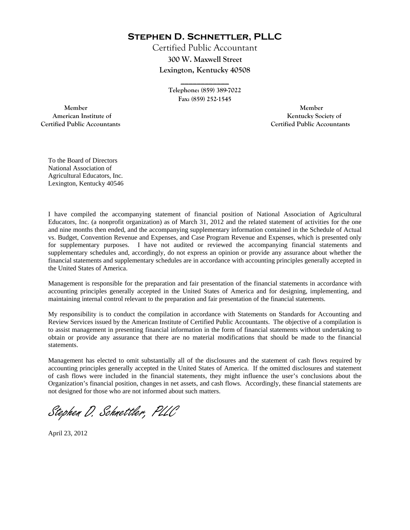**Stephen D. Schnettler, PLLC**

Certified Public Accountant **300 W. Maxwell Street Lexington, Kentucky 40508** 

> **\_\_\_\_\_\_\_\_\_\_\_\_ Telephone: (859) 389-7022 Fax: (859) 252-1545**

 **Member Member Certified Public Accountants Certified Public Accountants** 

American Institute of **Kentucky Society of American Institute of** 

To the Board of Directors National Association of Agricultural Educators, Inc. Lexington, Kentucky 40546

I have compiled the accompanying statement of financial position of National Association of Agricultural Educators, Inc. (a nonprofit organization) as of March 31, 2012 and the related statement of activities for the one and nine months then ended, and the accompanying supplementary information contained in the Schedule of Actual vs. Budget, Convention Revenue and Expenses, and Case Program Revenue and Expenses, which is presented only for supplementary purposes. I have not audited or reviewed the accompanying financial statements and supplementary schedules and, accordingly, do not express an opinion or provide any assurance about whether the financial statements and supplementary schedules are in accordance with accounting principles generally accepted in the United States of America.

Management is responsible for the preparation and fair presentation of the financial statements in accordance with accounting principles generally accepted in the United States of America and for designing, implementing, and maintaining internal control relevant to the preparation and fair presentation of the financial statements.

My responsibility is to conduct the compilation in accordance with Statements on Standards for Accounting and Review Services issued by the American Institute of Certified Public Accountants. The objective of a compilation is to assist management in presenting financial information in the form of financial statements without undertaking to obtain or provide any assurance that there are no material modifications that should be made to the financial statements.

Management has elected to omit substantially all of the disclosures and the statement of cash flows required by accounting principles generally accepted in the United States of America. If the omitted disclosures and statement of cash flows were included in the financial statements, they might influence the user's conclusions about the Organization's financial position, changes in net assets, and cash flows. Accordingly, these financial statements are not designed for those who are not informed about such matters.

Stephen D. Schnettler, PLLC

April 23, 2012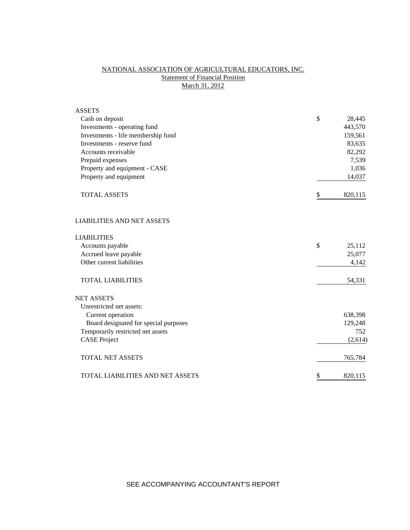# NATIONAL ASSOCIATION OF AGRICULTURAL EDUCATORS, INC. **Statement of Financial Position** March 31, 2012

| <b>ASSETS</b>                         |               |
|---------------------------------------|---------------|
| Cash on deposit                       | \$<br>28,445  |
| Investments - operating fund          | 443,570       |
| Investments - life membership fund    | 159,561       |
| Investments - reserve fund            | 83,635        |
| Accounts receivable                   | 82,292        |
| Prepaid expenses                      | 7,539         |
| Property and equipment - CASE         | 1,036         |
| Property and equipment                | 14,037        |
| <b>TOTAL ASSETS</b>                   | \$<br>820,115 |
| <b>LIABILITIES AND NET ASSETS</b>     |               |
| <b>LIABILITIES</b>                    |               |
| Accounts payable                      | \$<br>25,112  |
| Accrued leave payable                 | 25,077        |
| Other current liabilities             | 4,142         |
| <b>TOTAL LIABILITIES</b>              | 54,331        |
| <b>NET ASSETS</b>                     |               |
| Unrestricted net assets:              |               |
| Current operation                     | 638,398       |
| Board designated for special purposes | 129,248       |
| Temporarily restricted net assets     | 752           |
| <b>CASE Project</b>                   | (2,614)       |
| <b>TOTAL NET ASSETS</b>               | 765,784       |
| TOTAL LIABILITIES AND NET ASSETS      | \$<br>820,115 |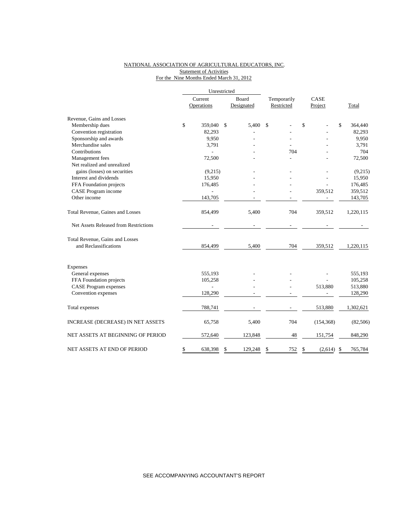## NATIONAL ASSOCIATION OF AGRICULTURAL EDUCATORS, INC. Statement of Activities For the Nine Months Ended March 31, 2012

|                                       |         | Unrestricted |       |            |             |               |               |           |
|---------------------------------------|---------|--------------|-------|------------|-------------|---------------|---------------|-----------|
|                                       | Current |              | Board |            | Temporarily | CASE          |               |           |
|                                       |         | Operations   |       | Designated | Restricted  | Project       |               | Total     |
| Revenue, Gains and Losses             |         |              |       |            |             |               |               |           |
| Membership dues                       | \$      | 359,040      | \$    | 5,400      | \$          | \$            | \$            | 364,440   |
| Convention registration               |         | 82,293       |       |            |             |               |               | 82,293    |
| Sponsorship and awards                |         | 9,950        |       |            |             |               |               | 9,950     |
| Merchandise sales                     |         | 3,791        |       |            |             |               |               | 3,791     |
| Contributions                         |         |              |       |            | 704         |               |               | 704       |
| Management fees                       |         | 72,500       |       |            |             |               |               | 72,500    |
| Net realized and unrealized           |         |              |       |            |             |               |               |           |
| gains (losses) on securities          |         | (9,215)      |       |            |             |               |               | (9,215)   |
| Interest and dividends                |         | 15,950       |       |            |             |               |               | 15,950    |
| FFA Foundation projects               |         | 176,485      |       |            |             |               |               | 176,485   |
| CASE Program income                   |         |              |       |            |             | 359,512       |               | 359,512   |
| Other income                          |         | 143,705      |       |            |             |               |               | 143,705   |
| Total Revenue, Gaines and Losses      |         | 854,499      |       | 5,400      | 704         | 359,512       |               | 1,220,115 |
| Net Assets Released from Restrictions |         |              |       |            |             |               |               |           |
| Total Revenue, Gains and Losses       |         |              |       |            |             |               |               |           |
| and Reclassifications                 |         | 854,499      |       | 5,400      | 704         | 359,512       |               | 1,220,115 |
| Expenses                              |         |              |       |            |             |               |               |           |
| General expenses                      |         | 555,193      |       |            |             |               |               | 555,193   |
| FFA Foundation projects               |         | 105,258      |       |            |             |               |               | 105,258   |
| <b>CASE Program expenses</b>          |         |              |       |            |             | 513,880       |               | 513,880   |
| Convention expenses                   |         | 128,290      |       |            |             |               |               | 128,290   |
| Total expenses                        |         | 788,741      |       |            |             | 513,880       |               | 1,302,621 |
| INCREASE (DECREASE) IN NET ASSETS     |         | 65,758       |       | 5,400      | 704         | (154, 368)    |               | (82, 506) |
| NET ASSETS AT BEGINNING OF PERIOD     |         | 572,640      |       | 123,848    | 48          | 151,754       |               | 848,290   |
| NET ASSETS AT END OF PERIOD           | \$      | 638,398      | \$    | 129,248    | \$<br>752   | \$<br>(2,614) | <sup>\$</sup> | 765,784   |

SEE ACCOMPANYING ACCOUNTANT'S REPORT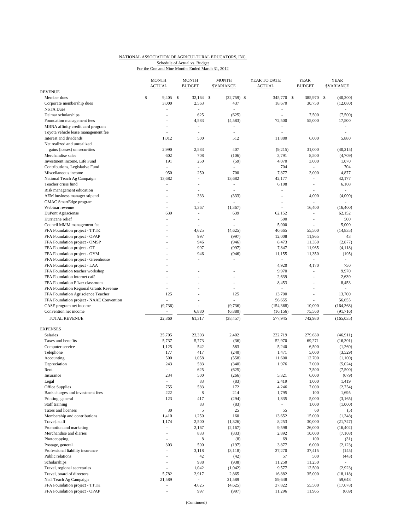#### NATIONAL ASSOCIATION OF AGRICULTURAL EDUCATORS, INC. Schedule of Actual vs. Budget

For the One and Nine Months Ended March 31, 2012

|                                                            | <b>MONTH</b><br><b>ACTUAL</b> | <b>MONTH</b><br><b>BUDGET</b> |              | <b>MONTH</b><br><b>\$VARIANCE</b> | YEAR TO DATE<br><b>ACTUAL</b> | <b>YEAR</b><br><b>BUDGET</b> | <b>YEAR</b><br><b>\$VARIANCE</b> |
|------------------------------------------------------------|-------------------------------|-------------------------------|--------------|-----------------------------------|-------------------------------|------------------------------|----------------------------------|
| <b>REVENUE</b>                                             |                               |                               |              |                                   |                               |                              |                                  |
| Member dues                                                | \$<br>9,405                   | \$<br>32.164                  | $\mathbb{S}$ | $(22,759)$ \$                     | 345,770 \$                    | 385,970 \$                   | (40,200)                         |
| Corporate membership dues                                  | 3,000                         | 2,563                         |              | 437                               | 18,670                        | 30,750                       | (12,080)                         |
| <b>NSTA Dues</b><br>Delmar scholarships                    | Ĭ.<br>ä,                      | $\overline{a}$<br>625         |              | ÷,<br>(625)                       | $\sim$                        | 7,500                        | $\overline{a}$<br>(7,500)        |
| Foundation management fees                                 |                               | 4,583                         |              | (4,583)                           | 72,500                        | 55,000                       | 17,500                           |
| MBNA affinity credit card program                          | Ĭ.                            | $\overline{\phantom{a}}$      |              | L,                                | $\overline{\phantom{a}}$      |                              |                                  |
| Toyota vehicle lease management fee                        |                               |                               |              | L,                                |                               |                              |                                  |
| Interest and dividends                                     | 1,012                         | 500                           |              | 512                               | 11,880                        | 6,000                        | 5,880                            |
| Net realized and unrealized                                |                               |                               |              |                                   |                               |                              |                                  |
| gains (losses) on securities                               | 2,990                         | 2,583                         |              | 407                               | (9,215)                       | 31,000                       | (40,215)                         |
| Merchandise sales                                          | 602                           | 708                           |              | (106)                             | 3,791                         | 8,500                        | (4,709)                          |
| Investment income, Life Fund                               | 191                           | 250                           |              | (59)                              | 4,070                         | 3,000                        | 1,070                            |
| Contributions, Legislative Fund                            | ÷,                            | $\overline{\phantom{a}}$      |              | L,                                | 704                           | L,                           | 704                              |
| Miscellaneous income                                       | 950                           | 250                           |              | 700                               | 7,877                         | 3,000                        | 4,877                            |
| National Teach Ag Campaign                                 | 13,682                        | $\frac{1}{2}$                 |              | 13,682                            | 42,177                        |                              | 42,177                           |
| Teacher crisis fund                                        | Ĭ.                            | $\overline{\phantom{a}}$      |              | $\overline{\phantom{m}}$          | 6,108                         | ÷,                           | 6,108                            |
| Risk management education                                  |                               | $\overline{a}$                |              | ÷,                                | $\overline{\phantom{a}}$      |                              | ÷.                               |
| AEM business manager stipend                               |                               | 333<br>ä,                     |              | (333)<br>÷,                       | ÷,                            | 4,000                        | (4,000)                          |
| GMAC SmartEdge program<br>Webinar revenue                  | Ĭ.                            | 1,367                         |              | (1, 367)                          |                               | ÷,<br>16,400                 | (16, 400)                        |
| DuPont Agrisciense                                         | 639                           | ٠                             |              | 639                               | 62,152                        | ä,                           | 62,152                           |
| Hurricane relief                                           |                               | $\overline{\phantom{a}}$      |              | ÷,                                | 500                           | $\overline{a}$               | 500                              |
| Council MMM management fee                                 |                               |                               |              |                                   | 5,000                         |                              | 5,000                            |
| FFA Foundation project - TTTK                              |                               | 4,625                         |              | (4,625)                           | 40,665                        | 55,500                       | (14, 835)                        |
| FFA Foundation project - OPAP                              |                               | 997                           |              | (997)                             | 12,008                        | 11,965                       | 43                               |
| FFA Foundation project - OMSP                              |                               | 946                           |              | (946)                             | 8,473                         | 11,350                       | (2, 877)                         |
| FFA Foundation project - OT                                |                               | 997                           |              | (997)                             | 7,847                         | 11,965                       | (4,118)                          |
| FFA Foundation project - OYM                               |                               | 946                           |              | (946)                             | 11,155                        | 11,350                       | (195)                            |
| FFA Foundation project - Greenhouse                        |                               | ٠                             |              | ÷,                                | $\sim$                        |                              | ٠                                |
| FFA Foundation project - LAA                               |                               |                               |              |                                   | 4,920                         | 4,170                        | 750                              |
| FFA Foundation teacher workshop                            |                               |                               |              | L,                                | 9,970                         | ÷,                           | 9,970                            |
| FFA Foundation internet café                               |                               |                               |              |                                   | 2,639                         | $\overline{a}$               | 2,639                            |
| FFA Foundation Pfizer classroom                            | J.                            |                               |              | ä,                                | 8,453                         | ä,                           | 8,453                            |
| FFA Foundation Regional Grants Revenue                     | J.                            |                               |              | ÷,                                | ÷                             | L.                           |                                  |
| FFA Foundation Agriscience Teacher                         | 125                           |                               |              | 125                               | 13,700                        | $\overline{a}$               | 13,700                           |
| FFA Foundation project - NAAE Convention                   |                               | $\overline{a}$                |              |                                   | 56,655                        |                              | 56,655                           |
| CASE program net income                                    | (9,736)                       | ÷.                            |              | (9,736)                           | (154, 368)                    | 10,000                       | (164, 368)                       |
| Convention net income                                      | ä,                            | 6,880                         |              | (6,880)                           | (16, 156)                     | 75,560                       | (91, 716)                        |
| TOTAL REVENUE                                              | 22,860                        | 61,317                        |              | (38, 457)                         | 577,945                       | 742,980                      | (165, 035)                       |
| <b>EXPENSES</b>                                            |                               |                               |              |                                   |                               |                              |                                  |
| Salaries                                                   | 25,705                        | 23,303                        |              | 2,402                             | 232,719                       | 279,630                      | (46,911)                         |
| Taxes and benefits                                         | 5,737                         | 5,773                         |              | (36)                              | 52,970                        | 69,271                       | (16, 301)                        |
| Computer service                                           | 1,125                         | 542                           |              | 583                               | 5,240                         | 6,500                        | (1,260)                          |
| Telephone                                                  | 177                           | 417                           |              | (240)                             | 1,471                         | 5,000                        | (3,529)                          |
| Accounting                                                 | 500                           | 1,058                         |              | (558)                             | 11,600                        | 12,700                       | (1,100)                          |
| Depreciation                                               | 243                           | 583                           |              | (340)                             | 1,976                         | 7,000                        | (5,024)                          |
| Rent                                                       | ä,                            | 625                           |              | (625)                             |                               | 7,500                        | (7,500)                          |
| Insurance                                                  | 234                           | 500                           |              | (266)                             | 5,321                         | 6,000                        | (679)                            |
| Legal                                                      | ÷,                            | 83                            |              | (83)                              | 2,419                         | 1,000                        | 1,419                            |
| Office Supplies                                            | 755                           | 583                           |              | 172                               | 4,246                         | 7,000                        | (2,754)                          |
| Bank charges and investment fees                           | 222                           | 8                             |              | 214                               | 1,795                         | 100                          | 1,695                            |
| Printing, general                                          | 123                           | 417                           |              | (294)                             | 1,835                         | 5,000                        | (3,165)                          |
| Staff training                                             |                               | 83                            |              | (83)                              | $\overline{\phantom{a}}$      | 1,000                        | (1,000)                          |
| Taxes and licenses                                         | 30                            | 5                             |              | 25                                | 55                            | 60                           | (5)                              |
| Membership and contributions                               | 1,410                         | 1,250                         |              | 160                               | 13,652                        | 15,000                       | (1, 348)                         |
| Travel, staff                                              | 1,174                         | 2,500                         |              | (1,326)                           | 8,253                         | 30,000                       | (21, 747)                        |
| Promotion and marketing                                    | $\overline{\phantom{m}}$      | 2,167                         |              | (2,167)                           | 9,598                         | 26,000                       | (16, 402)                        |
| Merchandise and diaries                                    | ÷                             | 833                           |              | (833)                             | 2,892                         | 10,000                       | (7,108)                          |
| Photocopying                                               | ÷,                            | 8                             |              | (8)                               | 69                            | 100                          | (31)                             |
| Postage, general                                           | 303                           | 500                           |              | (197)                             | 3,877                         | 6,000                        | (2,123)                          |
| Professional liability insurance                           | L,                            | 3,118                         |              | (3,118)                           | 37,270                        | 37,415                       | (145)                            |
| Public relations                                           | ÷,                            | 42<br>938                     |              | (42)                              | 57                            | 500                          | (443)                            |
| Scholarships                                               | ÷                             |                               |              | (938)                             | 11,250                        | 11,250                       |                                  |
| Travel, regional secretaries<br>Travel, board of directors | ä,<br>5,782                   | 1,042<br>2,917                |              | (1,042)<br>2,865                  | 9,577<br>16,882               | 12,500<br>35,000             | (2,923)<br>(18, 118)             |
| Nat'l Teach Ag Campaign                                    | 21,589                        | $\overline{\phantom{a}}$      |              | 21,589                            | 59,648                        | 4                            | 59,648                           |
| FFA Foundation project - TTTK                              | ÷                             | 4,625                         |              | (4,625)                           | 37,822                        | 55,500                       | (17,678)                         |
| FFA Foundation project - OPAP                              | i,                            | 997                           |              | (997)                             | 11,296                        | 11,965                       | (669)                            |
|                                                            |                               |                               |              |                                   |                               |                              |                                  |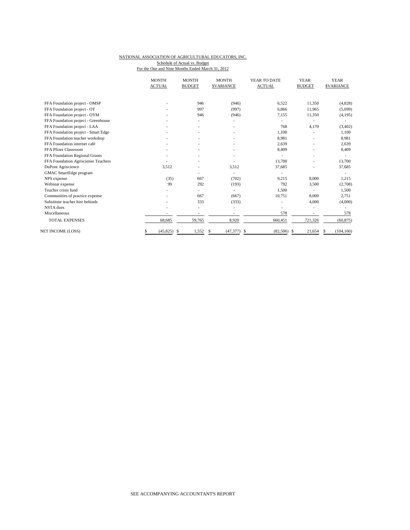### NATIONAL ASSOCIATION OF AGRICULTURAL EDUCATORS, INC. Schedule of Actual vs. Budget

For the One and Nine Months Ended March 31, 2012

|                                     | <b>MONTH</b><br><b>ACTUAL</b> | <b>MONTH</b><br><b>BUDGET</b> | <b>MONTH</b><br><b>SVARIANCE</b> | YEAR TO DATE<br><b>ACTUAL</b> | <b>YEAR</b><br><b>BUDGET</b> | <b>YEAR</b><br><b>SVARIANCE</b> |
|-------------------------------------|-------------------------------|-------------------------------|----------------------------------|-------------------------------|------------------------------|---------------------------------|
| FFA Foundation project - OMSP       |                               | 946                           | (946)                            | 6,522                         | 11,350                       | (4,828)                         |
| FFA Foundation project - OT         |                               | 997                           | (997)                            | 6,866                         | 11,965                       | (5,099)                         |
| FFA Foundation project - OYM        |                               | 946                           | (946)                            | 7,155                         | 11,350                       | (4,195)                         |
| FFA Foundation project - Greenhouse |                               |                               |                                  |                               | ۰                            |                                 |
| FFA Foundation project - LAA        |                               |                               |                                  | 768                           | 4,170                        | (3,402)                         |
| FFA Foundation project - Smart Edge |                               |                               |                                  | 1,100                         | $\overline{a}$               | 1,100                           |
| FFA Foundation teacher workshop     |                               |                               |                                  | 8.981                         |                              | 8,981                           |
| FFA Foundation internet café        |                               |                               |                                  | 2,639                         |                              | 2,639                           |
| FFA Pfizer Classroom                |                               |                               |                                  | 8,409                         | ٠                            | 8,409                           |
| FFA Foundation Regional Grants      |                               |                               |                                  |                               | $\overline{a}$               |                                 |
| FFA Foundation Agrisciense Teachers |                               |                               |                                  | 13,700                        | $\overline{a}$               | 13,700                          |
| DuPont Agriscience                  | 3,512                         |                               | 3,512                            | 37,685                        |                              | 37,685                          |
| GMAC SmartEdge program              |                               |                               |                                  |                               |                              |                                 |
| NPS expense                         | (35)                          | 667                           | (702)                            | 9,215                         | 8.000                        | 1,215                           |
| Webinar expense                     | 99                            | 292                           | (193)                            | 792                           | 3,500                        | (2,708)                         |
| Teacher crisis fund                 |                               |                               |                                  | 1,500                         |                              | 1,500                           |
| Communities of practice expense     |                               | 667                           | (667)                            | 10,751                        | 8,000                        | 2,751                           |
| Substitute teacher hire behinds     |                               | 333                           | (333)                            |                               | 4,000                        | (4,000)                         |
| NSTA dues                           |                               |                               |                                  |                               |                              |                                 |
| Miscellaneous                       |                               |                               |                                  | 578                           |                              | 578                             |
| <b>TOTAL EXPENSES</b>               | 68,685                        | 59,765                        | 8,920                            | 660,451                       | 721,326                      | (60, 875)                       |
| NET INCOME (LOSS)                   | (45, 825)<br>\$               | 1,552<br>-S                   | (47, 377)<br>S                   | $(82,506)$ \$<br>-\$          | 21,654                       | (104, 160)<br>S                 |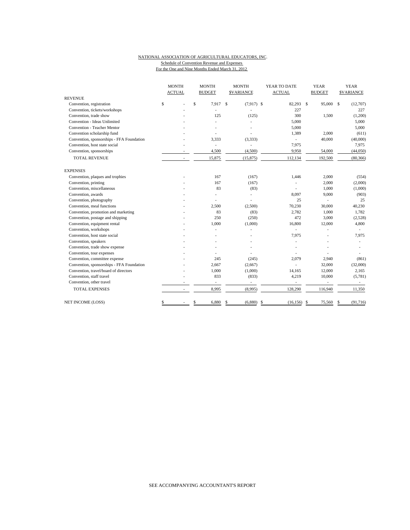#### NATIONAL ASSOCIATION OF AGRICULTURAL EDUCATORS, INC. Schedule of Convention Revenue and Expenses For the One and Nine Months Ended March 31, 2012

|                                           | <b>MONTH</b>  | <b>MONTH</b>             | <b>MONTH</b>                  | YEAR TO DATE             | <b>YEAR</b>              | <b>YEAR</b>      |
|-------------------------------------------|---------------|--------------------------|-------------------------------|--------------------------|--------------------------|------------------|
|                                           | <b>ACTUAL</b> | <b>BUDGET</b>            | <b>SVARIANCE</b>              | <b>ACTUAL</b>            | <b>BUDGET</b>            | <b>SVARIANCE</b> |
| <b>REVENUE</b>                            |               |                          |                               |                          |                          |                  |
| Convention, registration                  | \$            | $\mathsf{s}$<br>7,917    | <sup>\$</sup><br>$(7,917)$ \$ | 82,293 \$                | 95,000 \$                | (12,707)         |
| Convention, tickets/workshops             |               | ÷,                       | L                             | 227                      |                          | 227              |
| Convention, trade show                    |               | 125                      | (125)                         | 300                      | 1,500                    | (1,200)          |
| Convention - Ideas Unlimited              |               |                          | ä,                            | 5.000                    |                          | 5,000            |
| <b>Convention - Teacher Mentor</b>        |               |                          |                               | 5,000                    |                          | 5,000            |
| Convention scholarship fund               |               |                          |                               | 1,389                    | 2,000                    | (611)            |
| Convention, sponsorships - FFA Foundation |               | 3,333                    | (3, 333)                      | ÷,                       | 40,000                   | (40,000)         |
| Convention, host state social             |               | $\overline{a}$           |                               | 7,975                    |                          | 7,975            |
| Convention, sponsorships                  |               | 4,500                    | (4,500)                       | 9,950                    | 54,000                   | (44,050)         |
| <b>TOTAL REVENUE</b>                      | ٠             | 15,875                   | (15, 875)                     | 112,134                  | 192,500                  | (80, 366)        |
| <b>EXPENSES</b>                           |               |                          |                               |                          |                          |                  |
| Convention, plaques and trophies          |               | 167                      | (167)                         | 1,446                    | 2,000                    | (554)            |
| Convention, printing                      |               | 167                      | (167)                         |                          | 2,000                    | (2,000)          |
| Convention, miscellaneous                 |               | 83                       | (83)                          |                          | 1,000                    | (1,000)          |
| Convention, awards                        |               |                          |                               | 8.097                    | 9,000                    | (903)            |
| Convention, photography                   |               |                          |                               | 25                       |                          | 25               |
| Convention, meal functions                |               | 2.500                    | (2,500)                       | 70,230                   | 30,000                   | 40,230           |
| Convention, promotion and marketing       |               | 83                       | (83)                          | 2,782                    | 1,000                    | 1,782            |
| Convention, postage and shipping          |               | 250                      | (250)                         | 472                      | 3,000                    | (2,528)          |
| Convention, equipment rental              |               | 1,000                    | (1,000)                       | 16,800                   | 12,000                   | 4,800            |
| Convention, workshops                     |               |                          |                               |                          |                          |                  |
| Convention, host state social             |               |                          |                               | 7,975                    |                          | 7,975            |
| Convention, speakers                      |               |                          |                               |                          |                          |                  |
| Convention, trade show expense            |               |                          |                               |                          |                          |                  |
| Convention, tour expenses                 |               |                          |                               |                          |                          |                  |
| Convention, committee expense             |               | 245                      | (245)                         | 2,079                    | 2,940                    | (861)            |
| Convention, sponsorships - FFA Foundation |               | 2.667                    | (2,667)                       | ÷.                       | 32,000                   | (32,000)         |
| Convention, travel/board of directors     |               | 1,000                    | (1,000)                       | 14,165                   | 12,000                   | 2,165            |
| Convention, staff travel                  |               | 833                      | (833)                         | 4,219                    | 10,000                   | (5,781)          |
| Convention, other travel                  |               | $\overline{\phantom{a}}$ | ÷,                            | $\overline{\phantom{a}}$ | $\overline{\phantom{a}}$ | $\sim$           |
| <b>TOTAL EXPENSES</b>                     |               | 8,995                    | (8,995)                       | 128,290                  | 116,940                  | 11,350           |
| NET INCOME (LOSS)                         | \$            | \$<br>6,880              | \$<br>(6,880)                 | \$<br>(16, 156)          | 75,560<br>- \$           | (91, 716)<br>S   |